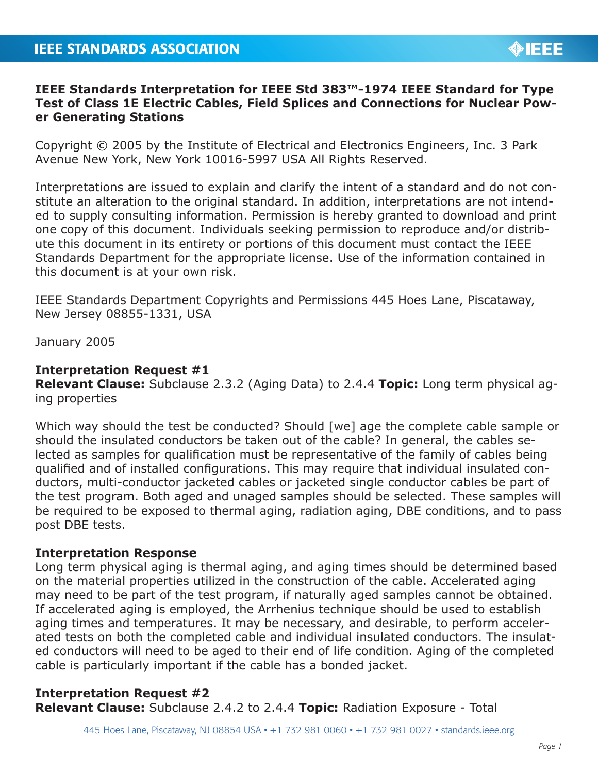## **IEEE Standards Interpretation for IEEE Std 383™-1974 IEEE Standard for Type Test of Class 1E Electric Cables, Field Splices and Connections for Nuclear Power Generating Stations**

Copyright © 2005 by the Institute of Electrical and Electronics Engineers, Inc. 3 Park Avenue New York, New York 10016-5997 USA All Rights Reserved.

Interpretations are issued to explain and clarify the intent of a standard and do not constitute an alteration to the original standard. In addition, interpretations are not intended to supply consulting information. Permission is hereby granted to download and print one copy of this document. Individuals seeking permission to reproduce and/or distribute this document in its entirety or portions of this document must contact the IEEE Standards Department for the appropriate license. Use of the information contained in this document is at your own risk.

IEEE Standards Department Copyrights and Permissions 445 Hoes Lane, Piscataway, New Jersey 08855-1331, USA

January 2005

## **Interpretation Request #1**

**Relevant Clause:** Subclause 2.3.2 (Aging Data) to 2.4.4 **Topic:** Long term physical aging properties

Which way should the test be conducted? Should [we] age the complete cable sample or should the insulated conductors be taken out of the cable? In general, the cables selected as samples for qualification must be representative of the family of cables being qualified and of installed configurations. This may require that individual insulated conductors, multi-conductor jacketed cables or jacketed single conductor cables be part of the test program. Both aged and unaged samples should be selected. These samples will be required to be exposed to thermal aging, radiation aging, DBE conditions, and to pass post DBE tests.

## **Interpretation Response**

Long term physical aging is thermal aging, and aging times should be determined based on the material properties utilized in the construction of the cable. Accelerated aging may need to be part of the test program, if naturally aged samples cannot be obtained. If accelerated aging is employed, the Arrhenius technique should be used to establish aging times and temperatures. It may be necessary, and desirable, to perform accelerated tests on both the completed cable and individual insulated conductors. The insulated conductors will need to be aged to their end of life condition. Aging of the completed cable is particularly important if the cable has a bonded jacket.

## **Interpretation Request #2**

**Relevant Clause:** Subclause 2.4.2 to 2.4.4 **Topic:** Radiation Exposure - Total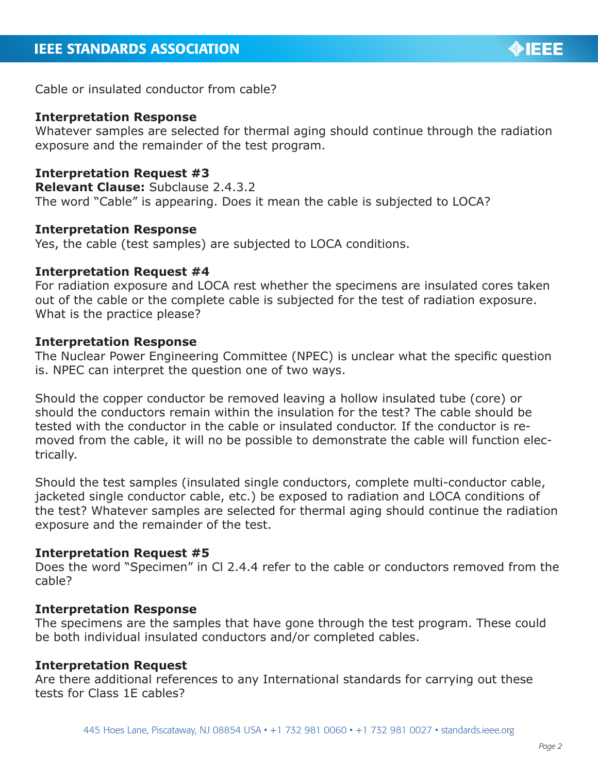

Cable or insulated conductor from cable?

#### **Interpretation Response**

Whatever samples are selected for thermal aging should continue through the radiation exposure and the remainder of the test program.

## **Interpretation Request #3**

**Relevant Clause:** Subclause 2.4.3.2 The word "Cable" is appearing. Does it mean the cable is subjected to LOCA?

#### **Interpretation Response**

Yes, the cable (test samples) are subjected to LOCA conditions.

#### **Interpretation Request #4**

For radiation exposure and LOCA rest whether the specimens are insulated cores taken out of the cable or the complete cable is subjected for the test of radiation exposure. What is the practice please?

#### **Interpretation Response**

The Nuclear Power Engineering Committee (NPEC) is unclear what the specific question is. NPEC can interpret the question one of two ways.

Should the copper conductor be removed leaving a hollow insulated tube (core) or should the conductors remain within the insulation for the test? The cable should be tested with the conductor in the cable or insulated conductor. If the conductor is removed from the cable, it will no be possible to demonstrate the cable will function electrically.

Should the test samples (insulated single conductors, complete multi-conductor cable, jacketed single conductor cable, etc.) be exposed to radiation and LOCA conditions of the test? Whatever samples are selected for thermal aging should continue the radiation exposure and the remainder of the test.

### **Interpretation Request #5**

Does the word "Specimen" in Cl 2.4.4 refer to the cable or conductors removed from the cable?

#### **Interpretation Response**

The specimens are the samples that have gone through the test program. These could be both individual insulated conductors and/or completed cables.

#### **Interpretation Request**

Are there additional references to any International standards for carrying out these tests for Class 1E cables?